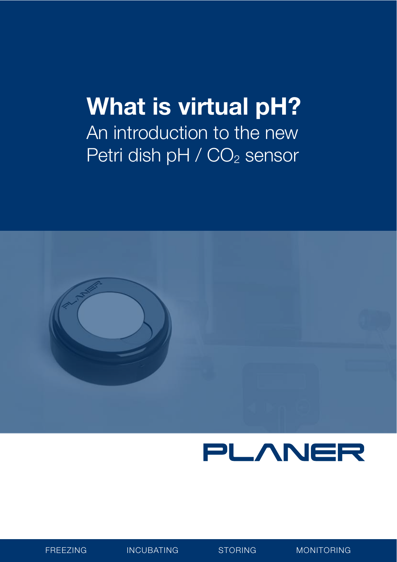## **What is virtual pH?**

An introduction to the new Petri dish pH / CO<sub>2</sub> sensor





FREEZING INCUBATING STORING MONITORING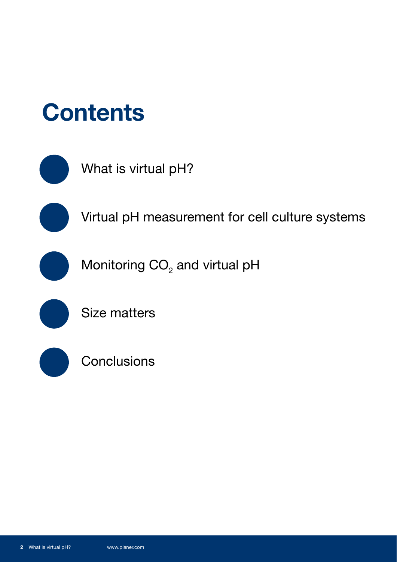



What is virtual pH?

Virtual pH measurement for cell culture systems

Monitoring  $CO<sub>2</sub>$  and virtual pH



Size matters



**Conclusions**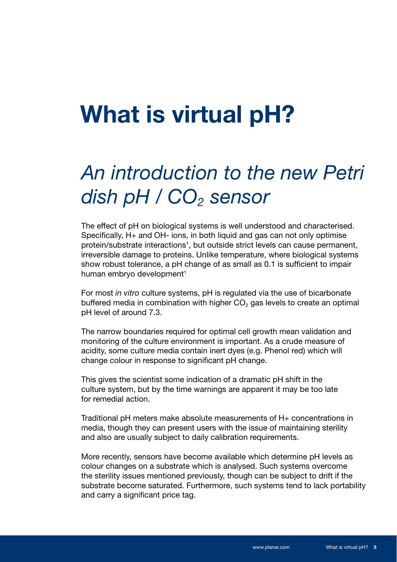#### **What is virtual pH?**

#### *An introduction to the new Petri*  dish pH / CO<sub>2</sub> sensor

The effect of pH on biological systems is well understood and characterised. Specifically, H+ and OH- ions, in both liquid and gas can not only optimise protein/substrate interactions<sup>1</sup>, but outside strict levels can cause permanent, irreversible damage to proteins. Unlike temperature, where biological systems show robust tolerance, a pH change of as small as 0.1 is sufficient to impair human embryo development<sup>1</sup>

For most *in vitro* culture systems, pH is regulated via the use of bicarbonate buffered media in combination with higher  $CO<sub>2</sub>$  gas levels to create an optimal pH level of around 7.3.

The narrow boundaries required for optimal cell growth mean validation and monitoring of the culture environment is important. As a crude measure of acidity, some culture media contain inert dyes (e.g. Phenol red) which will change colour in response to significant pH change.

This gives the scientist some indication of a dramatic pH shift in the culture system, but by the time warnings are apparent it may be too late for remedial action.

Traditional pH meters make absolute measurements of H+ concentrations in media, though they can present users with the issue of maintaining sterility and also are usually subject to daily calibration requirements.

More recently, sensors have become available which determine pH levels as colour changes on a substrate which is analysed. Such systems overcome the sterility issues mentioned previously, though can be subject to drift if the substrate become saturated. Furthermore, such systems tend to lack portability and carry a significant price tag.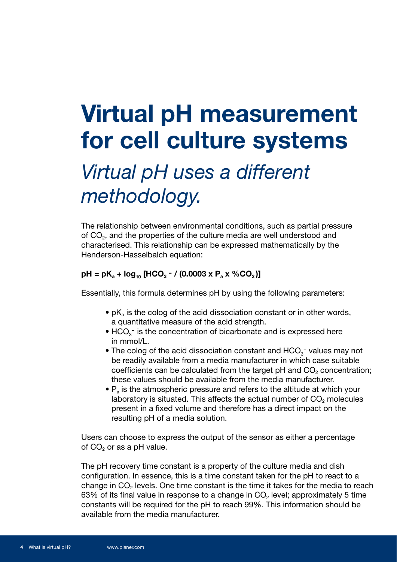## **Virtual pH measurement for cell culture systems**

#### *Virtual pH uses a different methodology.*

The relationship between environmental conditions, such as partial pressure of  $CO<sub>2</sub>$ , and the properties of the culture media are well understood and characterised. This relationship can be expressed mathematically by the Henderson-Hasselbalch equation:

#### $pH = pK_a + log_{10} [HCO_3 - / (0.0003 \times P_a \times %CO_2)]$

Essentially, this formula determines pH by using the following parameters:

- $\bullet$  pK<sub>a</sub> is the colog of the acid dissociation constant or in other words, a quantitative measure of the acid strength.
- $\bullet$  HCO<sub>3</sub><sup>-</sup> is the concentration of bicarbonate and is expressed here in mmol/L.
- The colog of the acid dissociation constant and  $HCO<sub>3</sub>$  values may not be readily available from a media manufacturer in which case suitable coefficients can be calculated from the target  $pH$  and  $CO<sub>2</sub>$  concentration; these values should be available from the media manufacturer.
	- $\bullet$  P<sub>a</sub> is the atmospheric pressure and refers to the altitude at which your laboratory is situated. This affects the actual number of  $CO<sub>2</sub>$  molecules present in a fixed volume and therefore has a direct impact on the resulting pH of a media solution.

Users can choose to express the output of the sensor as either a percentage of  $CO<sub>2</sub>$  or as a pH value.

The pH recovery time constant is a property of the culture media and dish configuration. In essence, this is a time constant taken for the pH to react to a change in  $CO<sub>2</sub>$  levels. One time constant is the time it takes for the media to reach 63% of its final value in response to a change in  $CO<sub>2</sub>$  level; approximately 5 time constants will be required for the pH to reach 99%. This information should be available from the media manufacturer.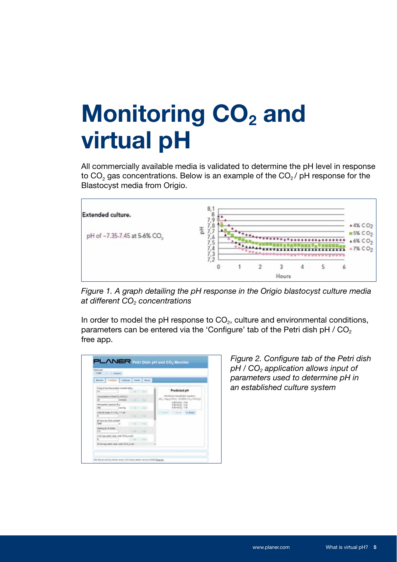# **Monitoring CO<sub>2</sub> and virtual pH**

All commercially available media is validated to determine the pH level in response to  $CO<sub>2</sub>$  gas concentrations. Below is an example of the  $CO<sub>2</sub>$  / pH response for the Blastocyst media from Origio.



*Figure 1. A graph detailing the pH response in the Origio blastocyst culture media at different CO2 concentrations*

In order to model the pH response to  $CO<sub>2</sub>$ , culture and environmental conditions, parameters can be entered via the 'Configure' tab of the Petri dish pH  $/$  CO<sub>2</sub> free app.

| Contacts   Labour   Luis   Albert<br>Monter.      |                        |  |                                                                         |
|---------------------------------------------------|------------------------|--|-------------------------------------------------------------------------|
|                                                   |                        |  |                                                                         |
| Collog of acré diseasination constent (phy)<br>X1 | 1.54-2 - 24            |  | Predicted pH                                                            |
| Commemor of NAFOD, PRIVATE<br>and in 1            | <b>Take</b>            |  | at, + haul YCh, 110 880 + P, + NODJ<br>435 5405 7.54<br>630 600g - 7.30 |
| Allywayners pressure (Full<br>WE<br>aus (t)       | To be 1 - and          |  |                                                                         |
| Althout model & HOTLL 1 + pm.                     | 10 April               |  | Change in the control of \$1,000 and                                    |
| If recovery links consi                           | 1. Call Corporate      |  |                                                                         |
| <b>William Off of Institute</b>                   |                        |  |                                                                         |
| A coll argument value critic failing or pit       | $\sim$<br><b>State</b> |  |                                                                         |
| 27 In A way unwit called suite NZT2; 44 pH        |                        |  |                                                                         |

*Figure 2. Configure tab of the Petri dish pH / CO2 application allows input of parameters used to determine pH in an established culture system*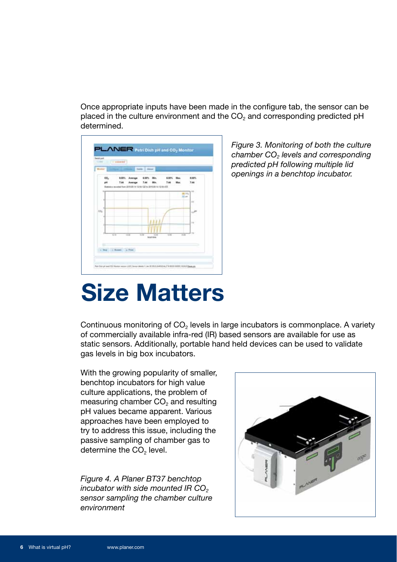Once appropriate inputs have been made in the configure tab, the sensor can be placed in the culture environment and the  $CO<sub>2</sub>$  and corresponding predicted pH determined.



*Figure 3. Monitoring of both the culture chamber CO2 levels and corresponding predicted pH following multiple lid openings in a benchtop incubator.*

## **Size Matters**

Continuous monitoring of  $CO<sub>2</sub>$  levels in large incubators is commonplace. A variety of commercially available infra-red (IR) based sensors are available for use as static sensors. Additionally, portable hand held devices can be used to validate gas levels in big box incubators.

With the growing popularity of smaller, benchtop incubators for high value culture applications, the problem of measuring chamber  $CO<sub>2</sub>$  and resulting pH values became apparent. Various approaches have been employed to try to address this issue, including the passive sampling of chamber gas to determine the CO<sub>2</sub> level.

*Figure 4. A Planer BT37 benchtop incubator with side mounted IR CO<sub>2</sub> sensor sampling the chamber culture environment*

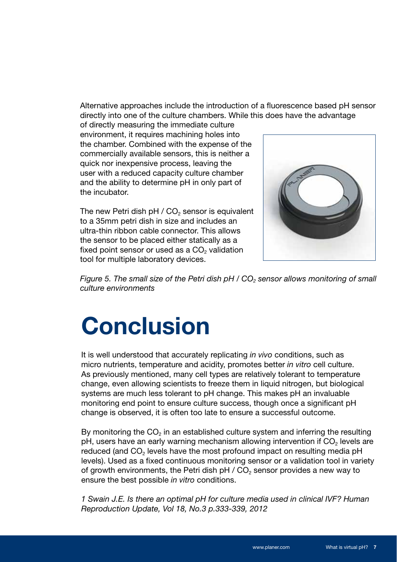Alternative approaches include the introduction of a fluorescence based pH sensor directly into one of the culture chambers. While this does have the advantage

of directly measuring the immediate culture environment, it requires machining holes into the chamber. Combined with the expense of the commercially available sensors, this is neither a quick nor inexpensive process, leaving the user with a reduced capacity culture chamber and the ability to determine pH in only part of the incubator.

The new Petri dish pH  $/$  CO<sub>2</sub> sensor is equivalent to a 35mm petri dish in size and includes an ultra-thin ribbon cable connector. This allows the sensor to be placed either statically as a fixed point sensor or used as a  $CO<sub>2</sub>$  validation tool for multiple laboratory devices.



*Figure 5. The small size of the Petri dish pH / CO<sub>2</sub> sensor allows monitoring of small culture environments*

# **Conclusion**

It is well understood that accurately replicating *in vivo* conditions, such as micro nutrients, temperature and acidity, promotes better *in vitro* cell culture. As previously mentioned, many cell types are relatively tolerant to temperature change, even allowing scientists to freeze them in liquid nitrogen, but biological systems are much less tolerant to pH change. This makes pH an invaluable monitoring end point to ensure culture success, though once a significant pH change is observed, it is often too late to ensure a successful outcome.

By monitoring the  $CO<sub>2</sub>$  in an established culture system and inferring the resulting pH, users have an early warning mechanism allowing intervention if CO<sub>2</sub> levels are reduced (and CO<sub>2</sub> levels have the most profound impact on resulting media pH levels). Used as a fixed continuous monitoring sensor or a validation tool in variety of growth environments, the Petri dish  $pH / CO<sub>2</sub>$  sensor provides a new way to ensure the best possible *in vitro* conditions.

*1 Swain J.E. Is there an optimal pH for culture media used in clinical IVF? Human Reproduction Update, Vol 18, No.3 p.333-339, 2012*